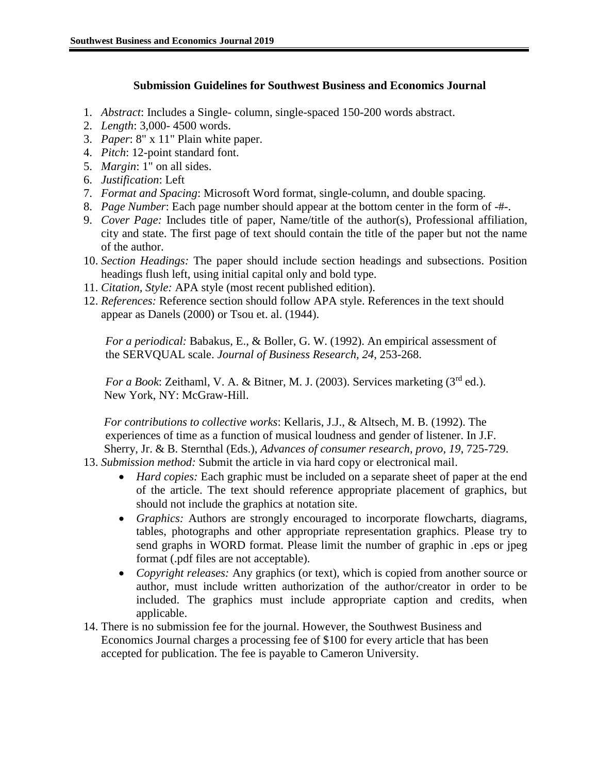# **Submission Guidelines for Southwest Business and Economics Journal**

- 1. *Abstract*: Includes a Single- column, single-spaced 150-200 words abstract.
- 2. *Length*: 3,000- 4500 words.
- 3. *Paper*: 8" x 11" Plain white paper.
- 4. *Pitch*: 12-point standard font.
- 5. *Margin*: 1" on all sides.
- 6. *Justification*: Left
- 7. *Format and Spacing*: Microsoft Word format, single-column, and double spacing.
- 8. *Page Number*: Each page number should appear at the bottom center in the form of -#-.
- 9. *Cover Page:* Includes title of paper, Name/title of the author(s), Professional affiliation, city and state. The first page of text should contain the title of the paper but not the name of the author.
- 10. *Section Headings:* The paper should include section headings and subsections. Position headings flush left, using initial capital only and bold type.
- 11. *Citation, Style:* APA style (most recent published edition).
- 12. *References:* Reference section should follow APA style. References in the text should appear as Danels (2000) or Tsou et. al. (1944).

*For a periodical:* Babakus, E., & Boller, G. W. (1992). An empirical assessment of the SERVQUAL scale. *Journal of Business Research, 24*, 253-268.

*For a Book*: Zeithaml, V. A. & Bitner, M. J. (2003). Services marketing (3rd ed.). New York, NY: McGraw-Hill.

 *For contributions to collective works*: Kellaris, J.J., & Altsech, M. B. (1992). The experiences of time as a function of musical loudness and gender of listener. In J.F. Sherry, Jr. & B. Sternthal (Eds.), *Advances of consumer research, provo, 19*, 725-729.

- 13. *Submission method:* Submit the article in via hard copy or electronical mail.
	- *Hard copies:* Each graphic must be included on a separate sheet of paper at the end of the article. The text should reference appropriate placement of graphics, but should not include the graphics at notation site.
	- *Graphics:* Authors are strongly encouraged to incorporate flowcharts, diagrams, tables, photographs and other appropriate representation graphics. Please try to send graphs in WORD format. Please limit the number of graphic in .eps or jpeg format (.pdf files are not acceptable).
	- *Copyright releases:* Any graphics (or text), which is copied from another source or author, must include written authorization of the author/creator in order to be included. The graphics must include appropriate caption and credits, when applicable.
- 14. There is no submission fee for the journal. However, the Southwest Business and Economics Journal charges a processing fee of \$100 for every article that has been accepted for publication. The fee is payable to Cameron University.